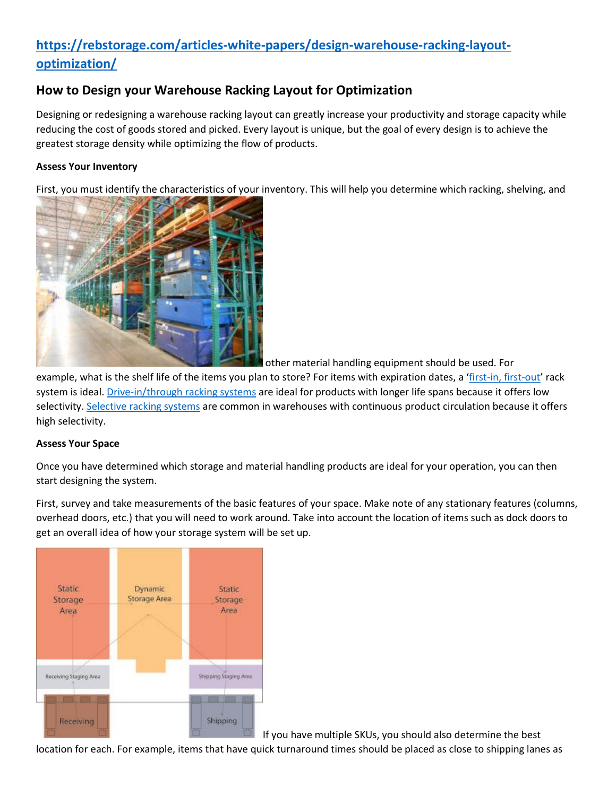# **[https://rebstorage.com/articles-white-papers/design-warehouse-racking-layout](https://rebstorage.com/articles-white-papers/design-warehouse-racking-layout-optimization/)[optimization/](https://rebstorage.com/articles-white-papers/design-warehouse-racking-layout-optimization/)**

# **How to Design your Warehouse Racking Layout for Optimization**

Designing or redesigning a warehouse racking layout can greatly increase your productivity and storage capacity while reducing the cost of goods stored and picked. Every layout is unique, but the goal of every design is to achieve the greatest storage density while optimizing the flow of products.

## **Assess Your Inventory**

First, you must identify the characteristics of your inventory. This will help you determine which racking, shelving, and



other material handling equipment should be used. For

example, what is the shelf life of the items you plan to store? For items with expiration dates, a '[first-in, first-out](https://rebstorage.com/articles-white-papers/fifo-rack-systems/)' rack system is ideal. [Drive-in/through racking systems](https://rebstorage.com/our-products/rack-products/drive-in-and-drive-through-rack/) are ideal for products with longer life spans because it offers low selectivity. [Selective racking systems](https://rebstorage.com/our-products/rack-products/selective-pallet-rack/) are common in warehouses with continuous product circulation because it offers high selectivity.

#### **Assess Your Space**

Once you have determined which storage and material handling products are ideal for your operation, you can then start designing the system.

First, survey and take measurements of the basic features of your space. Make note of any stationary features (columns, overhead doors, etc.) that you will need to work around. Take into account the location of items such as dock doors to get an overall idea of how your storage system will be set up.



If you have multiple SKUs, you should also determine the best

location for each. For example, items that have quick turnaround times should be placed as close to shipping lanes as